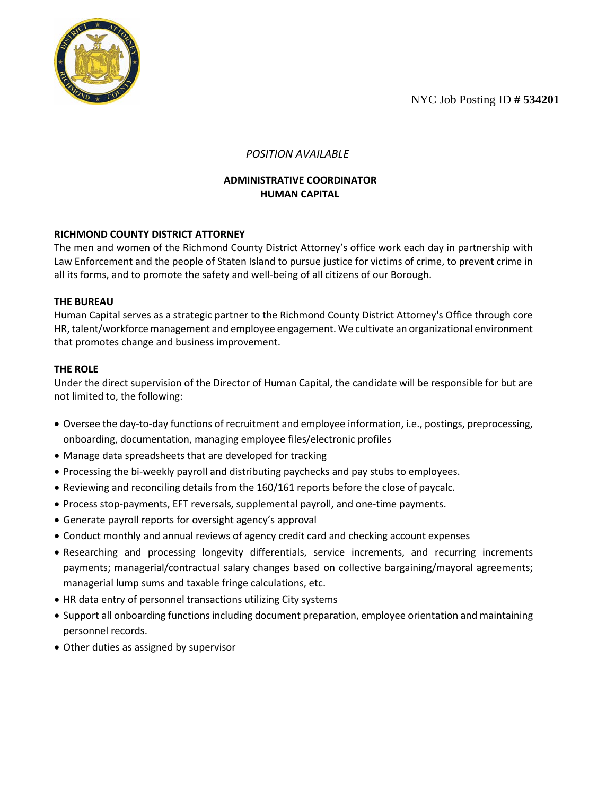NYC Job Posting ID **# 534201**



# *POSITION AVAILABLE*

## **ADMINISTRATIVE COORDINATOR HUMAN CAPITAL**

## **RICHMOND COUNTY DISTRICT ATTORNEY**

The men and women of the Richmond County District Attorney's office work each day in partnership with Law Enforcement and the people of Staten Island to pursue justice for victims of crime, to prevent crime in all its forms, and to promote the safety and well-being of all citizens of our Borough.

### **THE BUREAU**

Human Capital serves as a strategic partner to the Richmond County District Attorney's Office through core HR, talent/workforce management and employee engagement. We cultivate an organizational environment that promotes change and business improvement.

### **THE ROLE**

Under the direct supervision of the Director of Human Capital, the candidate will be responsible for but are not limited to, the following:

- Oversee the day-to-day functions of recruitment and employee information, i.e., postings, preprocessing, onboarding, documentation, managing employee files/electronic profiles
- Manage data spreadsheets that are developed for tracking
- Processing the bi-weekly payroll and distributing paychecks and pay stubs to employees.
- Reviewing and reconciling details from the 160/161 reports before the close of paycalc.
- Process stop-payments, EFT reversals, supplemental payroll, and one-time payments.
- Generate payroll reports for oversight agency's approval
- Conduct monthly and annual reviews of agency credit card and checking account expenses
- Researching and processing longevity differentials, service increments, and recurring increments payments; managerial/contractual salary changes based on collective bargaining/mayoral agreements; managerial lump sums and taxable fringe calculations, etc.
- HR data entry of personnel transactions utilizing City systems
- Support all onboarding functions including document preparation, employee orientation and maintaining personnel records.
- Other duties as assigned by supervisor